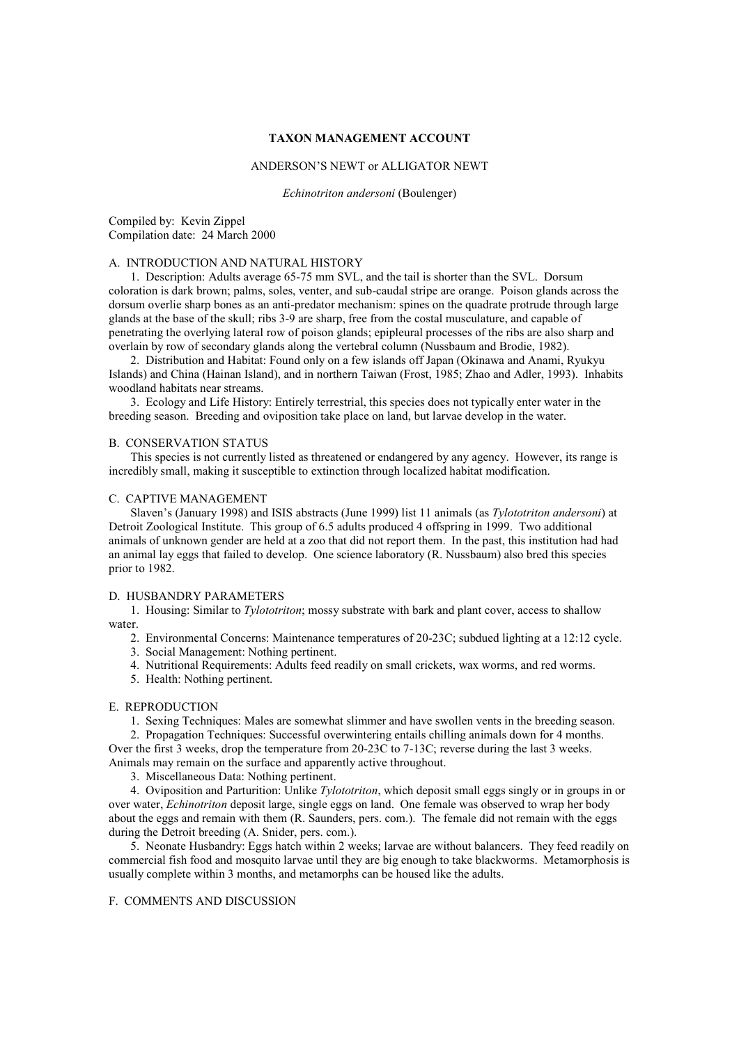### **TAXON MANAGEMENT ACCOUNT**

#### ANDERSON'S NEWT or ALLIGATOR NEWT

*Echinotriton andersoni* (Boulenger)

Compiled by: Kevin Zippel Compilation date: 24 March 2000

# A. INTRODUCTION AND NATURAL HISTORY

1. Description: Adults average 65-75 mm SVL, and the tail is shorter than the SVL. Dorsum coloration is dark brown; palms, soles, venter, and sub-caudal stripe are orange. Poison glands across the dorsum overlie sharp bones as an anti-predator mechanism: spines on the quadrate protrude through large glands at the base of the skull; ribs 3-9 are sharp, free from the costal musculature, and capable of penetrating the overlying lateral row of poison glands; epipleural processes of the ribs are also sharp and overlain by row of secondary glands along the vertebral column (Nussbaum and Brodie, 1982).

2. Distribution and Habitat: Found only on a few islands off Japan (Okinawa and Anami, Ryukyu Islands) and China (Hainan Island), and in northern Taiwan (Frost, 1985; Zhao and Adler, 1993). Inhabits woodland habitats near streams.

 3. Ecology and Life History: Entirely terrestrial, this species does not typically enter water in the breeding season. Breeding and oviposition take place on land, but larvae develop in the water.

## B. CONSERVATION STATUS

 This species is not currently listed as threatened or endangered by any agency. However, its range is incredibly small, making it susceptible to extinction through localized habitat modification.

### C. CAPTIVE MANAGEMENT

 Slaven's (January 1998) and ISIS abstracts (June 1999) list 11 animals (as *Tylototriton andersoni*) at Detroit Zoological Institute. This group of 6.5 adults produced 4 offspring in 1999. Two additional animals of unknown gender are held at a zoo that did not report them. In the past, this institution had had an animal lay eggs that failed to develop. One science laboratory (R. Nussbaum) also bred this species prior to 1982.

## D. HUSBANDRY PARAMETERS

 1. Housing: Similar to *Tylototriton*; mossy substrate with bark and plant cover, access to shallow water.

- 2. Environmental Concerns: Maintenance temperatures of 20-23C; subdued lighting at a 12:12 cycle.
- 3. Social Management: Nothing pertinent.
- 4. Nutritional Requirements: Adults feed readily on small crickets, wax worms, and red worms.
- 5. Health: Nothing pertinent.

#### E. REPRODUCTION

1. Sexing Techniques: Males are somewhat slimmer and have swollen vents in the breeding season.

 2. Propagation Techniques: Successful overwintering entails chilling animals down for 4 months. Over the first 3 weeks, drop the temperature from 20-23C to 7-13C; reverse during the last 3 weeks. Animals may remain on the surface and apparently active throughout.

3. Miscellaneous Data: Nothing pertinent.

 4. Oviposition and Parturition: Unlike *Tylototriton*, which deposit small eggs singly or in groups in or over water, *Echinotriton* deposit large, single eggs on land. One female was observed to wrap her body about the eggs and remain with them (R. Saunders, pers. com.). The female did not remain with the eggs during the Detroit breeding (A. Snider, pers. com.).

 5. Neonate Husbandry: Eggs hatch within 2 weeks; larvae are without balancers. They feed readily on commercial fish food and mosquito larvae until they are big enough to take blackworms. Metamorphosis is usually complete within 3 months, and metamorphs can be housed like the adults.

## F. COMMENTS AND DISCUSSION